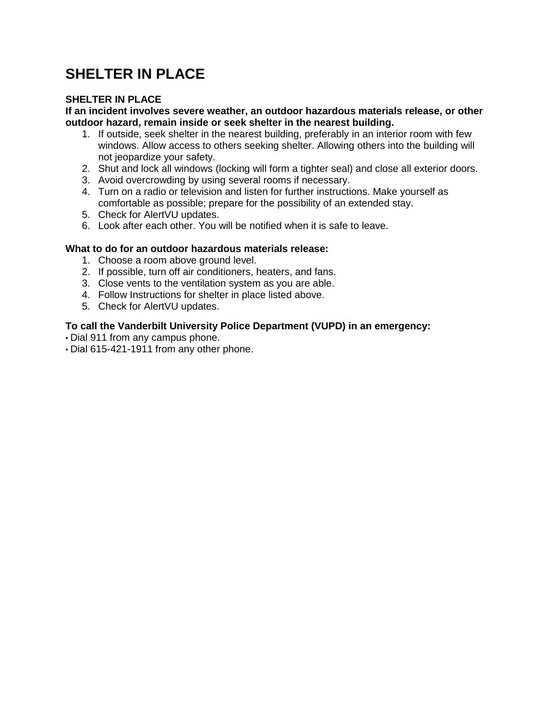# **SHELTER IN PLACE**

### **SHELTER IN PLACE**

#### **If an incident involves severe weather, an outdoor hazardous materials release, or other outdoor hazard, remain inside or seek shelter in the nearest building.**

- 1. If outside, seek shelter in the nearest building, preferably in an interior room with few windows. Allow access to others seeking shelter. Allowing others into the building will not jeopardize your safety.
- 2. Shut and lock all windows (locking will form a tighter seal) and close all exterior doors.
- 3. Avoid overcrowding by using several rooms if necessary.
- 4. Turn on a radio or television and listen for further instructions. Make yourself as comfortable as possible; prepare for the possibility of an extended stay.
- 5. Check for AlertVU updates.
- 6. Look after each other. You will be notified when it is safe to leave.

#### **What to do for an outdoor hazardous materials release:**

- 1. Choose a room above ground level.
- 2. If possible, turn off air conditioners, heaters, and fans.
- 3. Close vents to the ventilation system as you are able.
- 4. Follow Instructions for shelter in place listed above.
- 5. Check for AlertVU updates.

- Dial 911 from any campus phone.
- Dial 615-421-1911 from any other phone.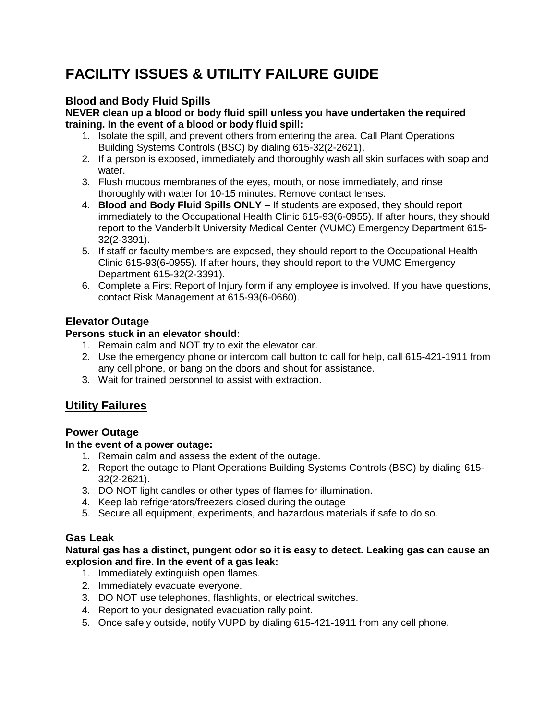# **FACILITY ISSUES & UTILITY FAILURE GUIDE**

## **Blood and Body Fluid Spills**

**NEVER clean up a blood or body fluid spill unless you have undertaken the required training. In the event of a blood or body fluid spill:**

- 1. Isolate the spill, and prevent others from entering the area. Call Plant Operations Building Systems Controls (BSC) by dialing 615-32(2-2621).
- 2. If a person is exposed, immediately and thoroughly wash all skin surfaces with soap and water.
- 3. Flush mucous membranes of the eyes, mouth, or nose immediately, and rinse thoroughly with water for 10-15 minutes. Remove contact lenses.
- 4. **Blood and Body Fluid Spills ONLY**  If students are exposed, they should report immediately to the Occupational Health Clinic 615-93(6-0955). If after hours, they should report to the Vanderbilt University Medical Center (VUMC) Emergency Department 615- 32(2-3391).
- 5. If staff or faculty members are exposed, they should report to the Occupational Health Clinic 615-93(6-0955). If after hours, they should report to the VUMC Emergency Department 615-32(2-3391).
- 6. Complete a First Report of Injury form if any employee is involved. If you have questions, contact Risk Management at 615-93(6-0660).

## **Elevator Outage**

## **Persons stuck in an elevator should:**

- 1. Remain calm and NOT try to exit the elevator car.
- 2. Use the emergency phone or intercom call button to call for help, call 615-421-1911 from any cell phone, or bang on the doors and shout for assistance.
- 3. Wait for trained personnel to assist with extraction.

## **Utility Failures**

## **Power Outage**

## **In the event of a power outage:**

- 1. Remain calm and assess the extent of the outage.
- 2. Report the outage to Plant Operations Building Systems Controls (BSC) by dialing 615- 32(2-2621).
- 3. DO NOT light candles or other types of flames for illumination.
- 4. Keep lab refrigerators/freezers closed during the outage
- 5. Secure all equipment, experiments, and hazardous materials if safe to do so.

## **Gas Leak**

**Natural gas has a distinct, pungent odor so it is easy to detect. Leaking gas can cause an explosion and fire. In the event of a gas leak:**

- 1. Immediately extinguish open flames.
- 2. Immediately evacuate everyone.
- 3. DO NOT use telephones, flashlights, or electrical switches.
- 4. Report to your designated evacuation rally point.
- 5. Once safely outside, notify VUPD by dialing 615-421-1911 from any cell phone.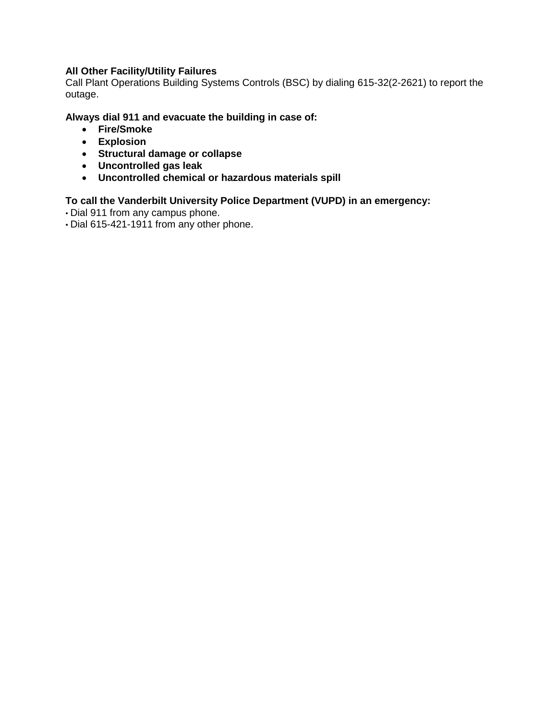## **All Other Facility/Utility Failures**

Call Plant Operations Building Systems Controls (BSC) by dialing 615-32(2-2621) to report the outage.

#### **Always dial 911 and evacuate the building in case of:**

- **Fire/Smoke**
- **Explosion**
- **Structural damage or collapse**
- **Uncontrolled gas leak**
- **Uncontrolled chemical or hazardous materials spill**

- Dial 911 from any campus phone.
- Dial 615-421-1911 from any other phone.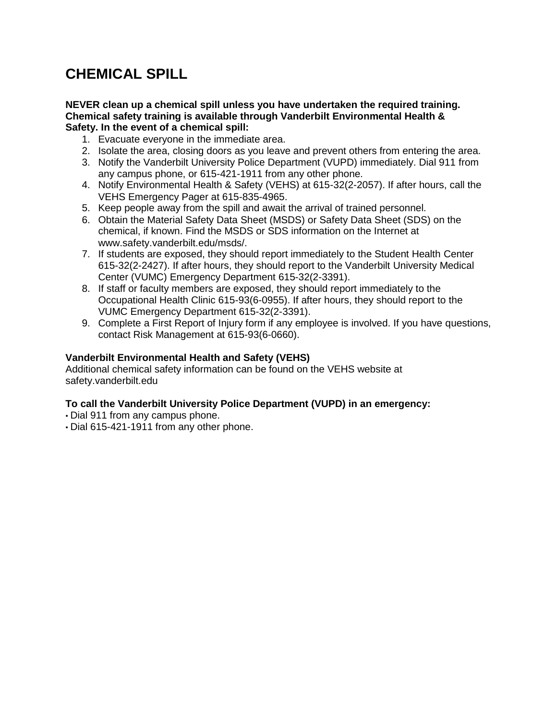# **CHEMICAL SPILL**

#### **NEVER clean up a chemical spill unless you have undertaken the required training. Chemical safety training is available through Vanderbilt Environmental Health & Safety. In the event of a chemical spill:**

- 1. Evacuate everyone in the immediate area.
- 2. Isolate the area, closing doors as you leave and prevent others from entering the area.
- 3. Notify the Vanderbilt University Police Department (VUPD) immediately. Dial 911 from any campus phone, or 615-421-1911 from any other phone.
- 4. Notify Environmental Health & Safety (VEHS) at 615-32(2-2057). If after hours, call the VEHS Emergency Pager at 615-835-4965.
- 5. Keep people away from the spill and await the arrival of trained personnel.
- 6. Obtain the Material Safety Data Sheet (MSDS) or Safety Data Sheet (SDS) on the chemical, if known. Find the MSDS or SDS information on the Internet at www.safety.vanderbilt.edu/msds/.
- 7. If students are exposed, they should report immediately to the Student Health Center 615-32(2-2427). If after hours, they should report to the Vanderbilt University Medical Center (VUMC) Emergency Department 615-32(2-3391).
- 8. If staff or faculty members are exposed, they should report immediately to the Occupational Health Clinic 615-93(6-0955). If after hours, they should report to the VUMC Emergency Department 615-32(2-3391).
- 9. Complete a First Report of Injury form if any employee is involved. If you have questions, contact Risk Management at 615-93(6-0660).

#### **Vanderbilt Environmental Health and Safety (VEHS)**

Additional chemical safety information can be found on the VEHS website at safety.vanderbilt.edu

- Dial 911 from any campus phone.
- Dial 615-421-1911 from any other phone.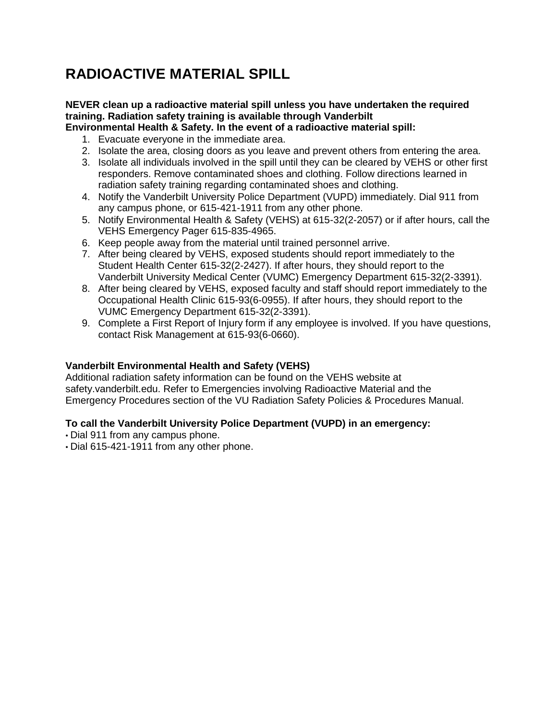# **RADIOACTIVE MATERIAL SPILL**

## **NEVER clean up a radioactive material spill unless you have undertaken the required training. Radiation safety training is available through Vanderbilt**

#### **Environmental Health & Safety. In the event of a radioactive material spill:**

- 1. Evacuate everyone in the immediate area.
- 2. Isolate the area, closing doors as you leave and prevent others from entering the area.
- 3. Isolate all individuals involved in the spill until they can be cleared by VEHS or other first responders. Remove contaminated shoes and clothing. Follow directions learned in radiation safety training regarding contaminated shoes and clothing.
- 4. Notify the Vanderbilt University Police Department (VUPD) immediately. Dial 911 from any campus phone, or 615-421-1911 from any other phone.
- 5. Notify Environmental Health & Safety (VEHS) at 615-32(2-2057) or if after hours, call the VEHS Emergency Pager 615-835-4965.
- 6. Keep people away from the material until trained personnel arrive.
- 7. After being cleared by VEHS, exposed students should report immediately to the Student Health Center 615-32(2-2427). If after hours, they should report to the Vanderbilt University Medical Center (VUMC) Emergency Department 615-32(2-3391).
- 8. After being cleared by VEHS, exposed faculty and staff should report immediately to the Occupational Health Clinic 615-93(6-0955). If after hours, they should report to the VUMC Emergency Department 615-32(2-3391).
- 9. Complete a First Report of Injury form if any employee is involved. If you have questions, contact Risk Management at 615-93(6-0660).

#### **Vanderbilt Environmental Health and Safety (VEHS)**

Additional radiation safety information can be found on the VEHS website at safety.vanderbilt.edu. Refer to Emergencies involving Radioactive Material and the Emergency Procedures section of the VU Radiation Safety Policies & Procedures Manual.

- Dial 911 from any campus phone.
- Dial 615-421-1911 from any other phone.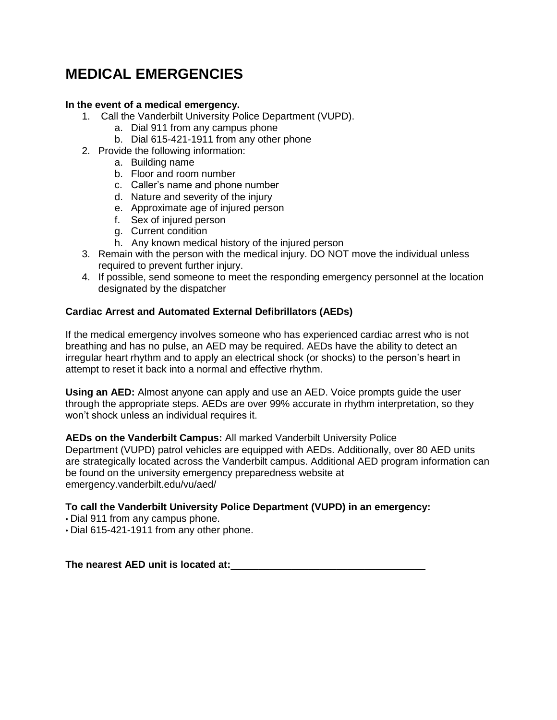# **MEDICAL EMERGENCIES**

#### **In the event of a medical emergency.**

- 1. Call the Vanderbilt University Police Department (VUPD).
	- a. Dial 911 from any campus phone
	- b. Dial 615-421-1911 from any other phone
- 2. Provide the following information:
	- a. Building name
	- b. Floor and room number
	- c. Caller's name and phone number
	- d. Nature and severity of the injury
	- e. Approximate age of injured person
	- f. Sex of injured person
	- g. Current condition
	- h. Any known medical history of the injured person
- 3. Remain with the person with the medical injury. DO NOT move the individual unless required to prevent further injury.
- 4. If possible, send someone to meet the responding emergency personnel at the location designated by the dispatcher

#### **Cardiac Arrest and Automated External Defibrillators (AEDs)**

If the medical emergency involves someone who has experienced cardiac arrest who is not breathing and has no pulse, an AED may be required. AEDs have the ability to detect an irregular heart rhythm and to apply an electrical shock (or shocks) to the person's heart in attempt to reset it back into a normal and effective rhythm.

**Using an AED:** Almost anyone can apply and use an AED. Voice prompts guide the user through the appropriate steps. AEDs are over 99% accurate in rhythm interpretation, so they won't shock unless an individual requires it.

**AEDs on the Vanderbilt Campus:** All marked Vanderbilt University Police Department (VUPD) patrol vehicles are equipped with AEDs. Additionally, over 80 AED units are strategically located across the Vanderbilt campus. Additional AED program information can be found on the university emergency preparedness website at emergency.vanderbilt.edu/vu/aed/

#### **To call the Vanderbilt University Police Department (VUPD) in an emergency:**

• Dial 911 from any campus phone.

• Dial 615-421-1911 from any other phone.

**The nearest AED unit is located at:**\_\_\_\_\_\_\_\_\_\_\_\_\_\_\_\_\_\_\_\_\_\_\_\_\_\_\_\_\_\_\_\_\_\_\_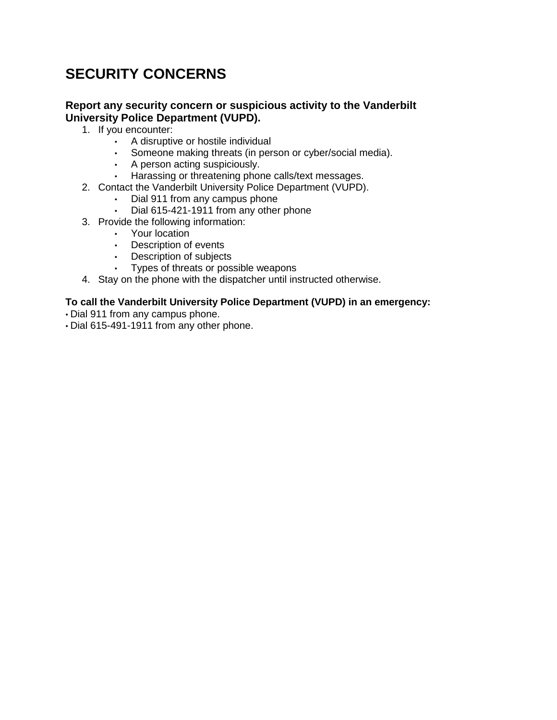# **SECURITY CONCERNS**

### **Report any security concern or suspicious activity to the Vanderbilt University Police Department (VUPD).**

- 1. If you encounter:
	- A disruptive or hostile individual
	- Someone making threats (in person or cyber/social media).
	- A person acting suspiciously.
	- Harassing or threatening phone calls/text messages.
- 2. Contact the Vanderbilt University Police Department (VUPD).
	- Dial 911 from any campus phone
	- Dial 615-421-1911 from any other phone
- 3. Provide the following information:
	- Your location
	- Description of events
	- Description of subjects
	- Types of threats or possible weapons
- 4. Stay on the phone with the dispatcher until instructed otherwise.

- Dial 911 from any campus phone.
- Dial 615-491-1911 from any other phone.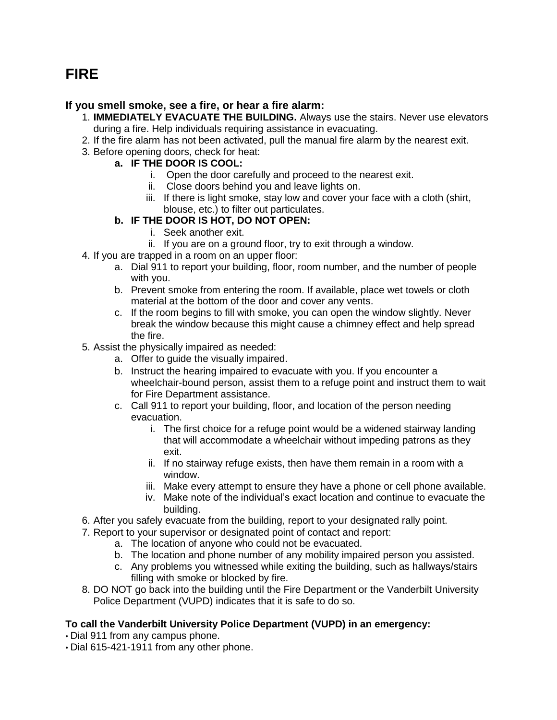## **FIRE**

## **If you smell smoke, see a fire, or hear a fire alarm:**

- 1. **IMMEDIATELY EVACUATE THE BUILDING.** Always use the stairs. Never use elevators during a fire. Help individuals requiring assistance in evacuating.
- 2. If the fire alarm has not been activated, pull the manual fire alarm by the nearest exit.
- 3. Before opening doors, check for heat:

### **a. IF THE DOOR IS COOL:**

- i. Open the door carefully and proceed to the nearest exit.
- ii. Close doors behind you and leave lights on.
- iii. If there is light smoke, stay low and cover your face with a cloth (shirt, blouse, etc.) to filter out particulates.

## **b. IF THE DOOR IS HOT, DO NOT OPEN:**

- i. Seek another exit.
- ii. If you are on a ground floor, try to exit through a window.
- 4. If you are trapped in a room on an upper floor:
	- a. Dial 911 to report your building, floor, room number, and the number of people with you.
	- b. Prevent smoke from entering the room. If available, place wet towels or cloth material at the bottom of the door and cover any vents.
	- c. If the room begins to fill with smoke, you can open the window slightly. Never break the window because this might cause a chimney effect and help spread the fire.
- 5. Assist the physically impaired as needed:
	- a. Offer to guide the visually impaired.
	- b. Instruct the hearing impaired to evacuate with you. If you encounter a wheelchair-bound person, assist them to a refuge point and instruct them to wait for Fire Department assistance.
	- c. Call 911 to report your building, floor, and location of the person needing evacuation.
		- i. The first choice for a refuge point would be a widened stairway landing that will accommodate a wheelchair without impeding patrons as they exit.
		- ii. If no stairway refuge exists, then have them remain in a room with a window.
		- iii. Make every attempt to ensure they have a phone or cell phone available.
		- iv. Make note of the individual's exact location and continue to evacuate the building.
- 6. After you safely evacuate from the building, report to your designated rally point.
- 7. Report to your supervisor or designated point of contact and report:
	- a. The location of anyone who could not be evacuated.
	- b. The location and phone number of any mobility impaired person you assisted.
	- c. Any problems you witnessed while exiting the building, such as hallways/stairs filling with smoke or blocked by fire.
- 8. DO NOT go back into the building until the Fire Department or the Vanderbilt University Police Department (VUPD) indicates that it is safe to do so.

- Dial 911 from any campus phone.
- Dial 615-421-1911 from any other phone.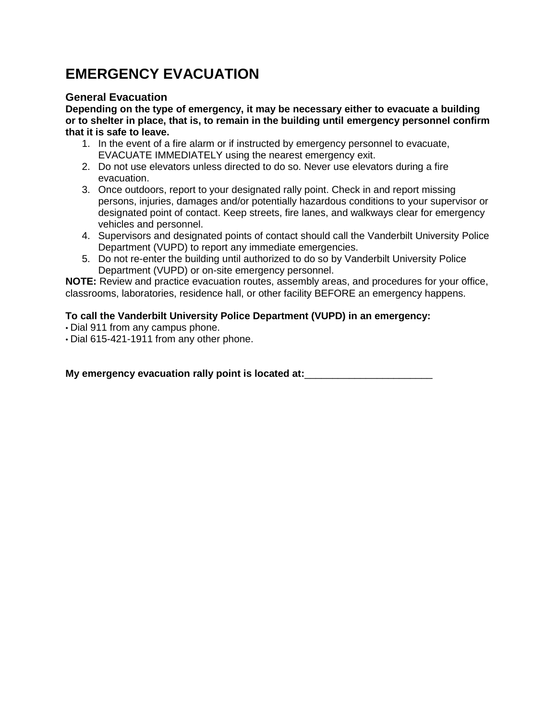# **EMERGENCY EVACUATION**

## **General Evacuation**

**Depending on the type of emergency, it may be necessary either to evacuate a building or to shelter in place, that is, to remain in the building until emergency personnel confirm that it is safe to leave.**

- 1. In the event of a fire alarm or if instructed by emergency personnel to evacuate, EVACUATE IMMEDIATELY using the nearest emergency exit.
- 2. Do not use elevators unless directed to do so. Never use elevators during a fire evacuation.
- 3. Once outdoors, report to your designated rally point. Check in and report missing persons, injuries, damages and/or potentially hazardous conditions to your supervisor or designated point of contact. Keep streets, fire lanes, and walkways clear for emergency vehicles and personnel.
- 4. Supervisors and designated points of contact should call the Vanderbilt University Police Department (VUPD) to report any immediate emergencies.
- 5. Do not re-enter the building until authorized to do so by Vanderbilt University Police Department (VUPD) or on-site emergency personnel.

**NOTE:** Review and practice evacuation routes, assembly areas, and procedures for your office, classrooms, laboratories, residence hall, or other facility BEFORE an emergency happens.

## **To call the Vanderbilt University Police Department (VUPD) in an emergency:**

- Dial 911 from any campus phone.
- Dial 615-421-1911 from any other phone.

**My emergency evacuation rally point is located at:**\_\_\_\_\_\_\_\_\_\_\_\_\_\_\_\_\_\_\_\_\_\_\_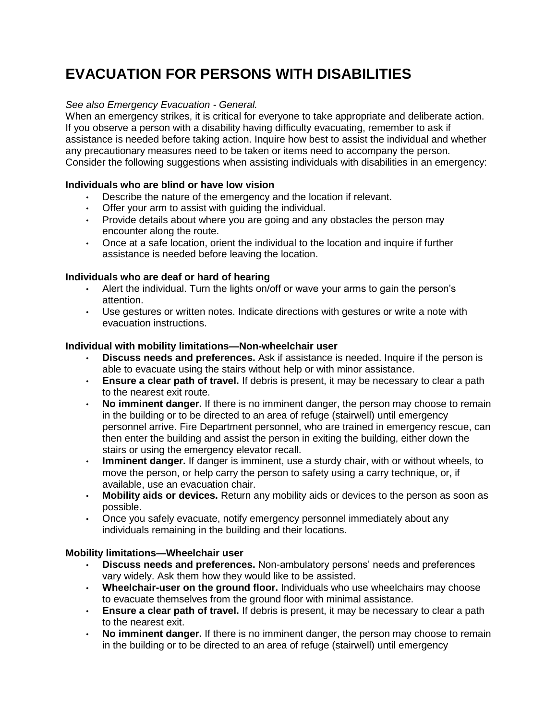# **EVACUATION FOR PERSONS WITH DISABILITIES**

## *See also Emergency Evacuation - General.*

When an emergency strikes, it is critical for everyone to take appropriate and deliberate action. If you observe a person with a disability having difficulty evacuating, remember to ask if assistance is needed before taking action. Inquire how best to assist the individual and whether any precautionary measures need to be taken or items need to accompany the person. Consider the following suggestions when assisting individuals with disabilities in an emergency:

## **Individuals who are blind or have low vision**

- Describe the nature of the emergency and the location if relevant.
- Offer your arm to assist with guiding the individual.
- Provide details about where you are going and any obstacles the person may encounter along the route.
- Once at a safe location, orient the individual to the location and inquire if further assistance is needed before leaving the location.

## **Individuals who are deaf or hard of hearing**

- Alert the individual. Turn the lights on/off or wave your arms to gain the person's attention.
- Use gestures or written notes. Indicate directions with gestures or write a note with evacuation instructions.

#### **Individual with mobility limitations—Non-wheelchair user**

- **Discuss needs and preferences.** Ask if assistance is needed. Inquire if the person is able to evacuate using the stairs without help or with minor assistance.
- **Ensure a clear path of travel.** If debris is present, it may be necessary to clear a path to the nearest exit route.
- **No imminent danger.** If there is no imminent danger, the person may choose to remain in the building or to be directed to an area of refuge (stairwell) until emergency personnel arrive. Fire Department personnel, who are trained in emergency rescue, can then enter the building and assist the person in exiting the building, either down the stairs or using the emergency elevator recall.
- **Imminent danger.** If danger is imminent, use a sturdy chair, with or without wheels, to move the person, or help carry the person to safety using a carry technique, or, if available, use an evacuation chair.
- **Mobility aids or devices.** Return any mobility aids or devices to the person as soon as possible.
- Once you safely evacuate, notify emergency personnel immediately about any individuals remaining in the building and their locations.

#### **Mobility limitations—Wheelchair user**

- **Discuss needs and preferences.** Non-ambulatory persons' needs and preferences vary widely. Ask them how they would like to be assisted.
- **Wheelchair-user on the ground floor.** Individuals who use wheelchairs may choose to evacuate themselves from the ground floor with minimal assistance.
- **Ensure a clear path of travel.** If debris is present, it may be necessary to clear a path to the nearest exit.
- **No imminent danger.** If there is no imminent danger, the person may choose to remain in the building or to be directed to an area of refuge (stairwell) until emergency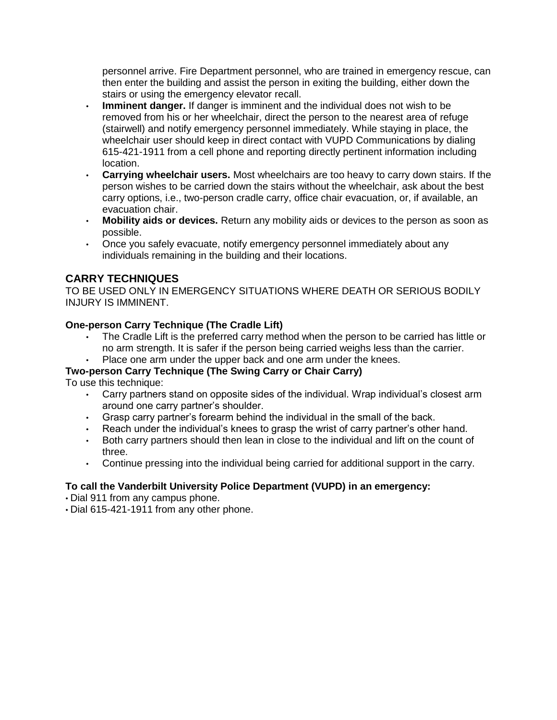personnel arrive. Fire Department personnel, who are trained in emergency rescue, can then enter the building and assist the person in exiting the building, either down the stairs or using the emergency elevator recall.

- **Imminent danger.** If danger is imminent and the individual does not wish to be removed from his or her wheelchair, direct the person to the nearest area of refuge (stairwell) and notify emergency personnel immediately. While staying in place, the wheelchair user should keep in direct contact with VUPD Communications by dialing 615-421-1911 from a cell phone and reporting directly pertinent information including location.
- **Carrying wheelchair users.** Most wheelchairs are too heavy to carry down stairs. If the person wishes to be carried down the stairs without the wheelchair, ask about the best carry options, i.e., two-person cradle carry, office chair evacuation, or, if available, an evacuation chair.
- **Mobility aids or devices.** Return any mobility aids or devices to the person as soon as possible.
- Once you safely evacuate, notify emergency personnel immediately about any individuals remaining in the building and their locations.

## **CARRY TECHNIQUES**

TO BE USED ONLY IN EMERGENCY SITUATIONS WHERE DEATH OR SERIOUS BODILY INJURY IS IMMINENT.

#### **One-person Carry Technique (The Cradle Lift)**

- The Cradle Lift is the preferred carry method when the person to be carried has little or no arm strength. It is safer if the person being carried weighs less than the carrier.
- Place one arm under the upper back and one arm under the knees.

### **Two-person Carry Technique (The Swing Carry or Chair Carry)**

To use this technique:

- Carry partners stand on opposite sides of the individual. Wrap individual's closest arm around one carry partner's shoulder.
- Grasp carry partner's forearm behind the individual in the small of the back.
- Reach under the individual's knees to grasp the wrist of carry partner's other hand.
- Both carry partners should then lean in close to the individual and lift on the count of three.
- Continue pressing into the individual being carried for additional support in the carry.

- Dial 911 from any campus phone.
- Dial 615-421-1911 from any other phone.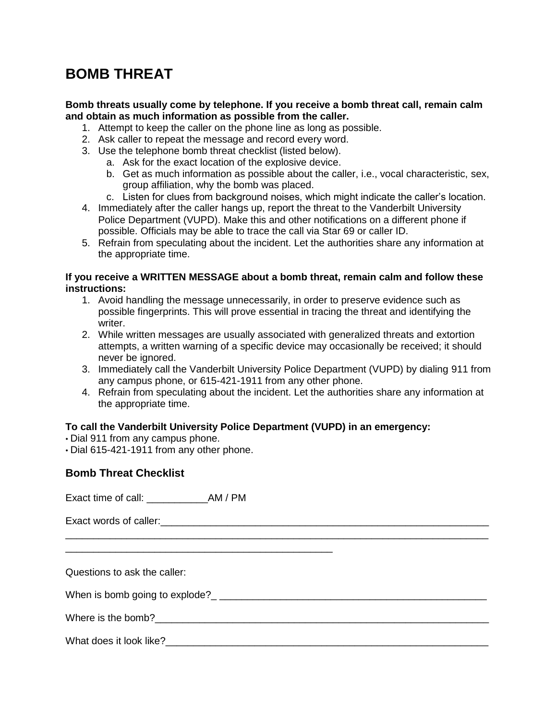# **BOMB THREAT**

#### **Bomb threats usually come by telephone. If you receive a bomb threat call, remain calm and obtain as much information as possible from the caller.**

- 1. Attempt to keep the caller on the phone line as long as possible.
- 2. Ask caller to repeat the message and record every word.
- 3. Use the telephone bomb threat checklist (listed below).
	- a. Ask for the exact location of the explosive device.
	- b. Get as much information as possible about the caller, i.e., vocal characteristic, sex, group affiliation, why the bomb was placed.
	- c. Listen for clues from background noises, which might indicate the caller's location.
- 4. Immediately after the caller hangs up, report the threat to the Vanderbilt University Police Department (VUPD). Make this and other notifications on a different phone if possible. Officials may be able to trace the call via Star 69 or caller ID.
- 5. Refrain from speculating about the incident. Let the authorities share any information at the appropriate time.

#### **If you receive a WRITTEN MESSAGE about a bomb threat, remain calm and follow these instructions:**

- 1. Avoid handling the message unnecessarily, in order to preserve evidence such as possible fingerprints. This will prove essential in tracing the threat and identifying the writer.
- 2. While written messages are usually associated with generalized threats and extortion attempts, a written warning of a specific device may occasionally be received; it should never be ignored.
- 3. Immediately call the Vanderbilt University Police Department (VUPD) by dialing 911 from any campus phone, or 615-421-1911 from any other phone.
- 4. Refrain from speculating about the incident. Let the authorities share any information at the appropriate time.

\_\_\_\_\_\_\_\_\_\_\_\_\_\_\_\_\_\_\_\_\_\_\_\_\_\_\_\_\_\_\_\_\_\_\_\_\_\_\_\_\_\_\_\_\_\_\_\_\_\_\_\_\_\_\_\_\_\_\_\_\_\_\_\_\_\_\_\_\_\_\_\_\_\_\_\_

### **To call the Vanderbilt University Police Department (VUPD) in an emergency:**

- Dial 911 from any campus phone.
- Dial 615-421-1911 from any other phone.

#### **Bomb Threat Checklist**

Exact time of call: \_\_\_\_\_\_\_\_\_\_\_AM / PM

\_\_\_\_\_\_\_\_\_\_\_\_\_\_\_\_\_\_\_\_\_\_\_\_\_\_\_\_\_\_\_\_\_\_\_\_\_\_\_\_\_\_\_\_\_\_\_\_

Exact words of caller:  $\Box$ 

Questions to ask the caller:

When is bomb going to explode?\_ \_\_\_\_\_\_\_\_\_\_\_\_\_\_\_\_\_\_\_\_\_\_\_\_\_\_\_\_\_\_\_\_\_\_\_\_\_\_\_\_\_\_\_\_\_\_\_\_

Where is the bomb?  $\blacksquare$ 

## What does it look like?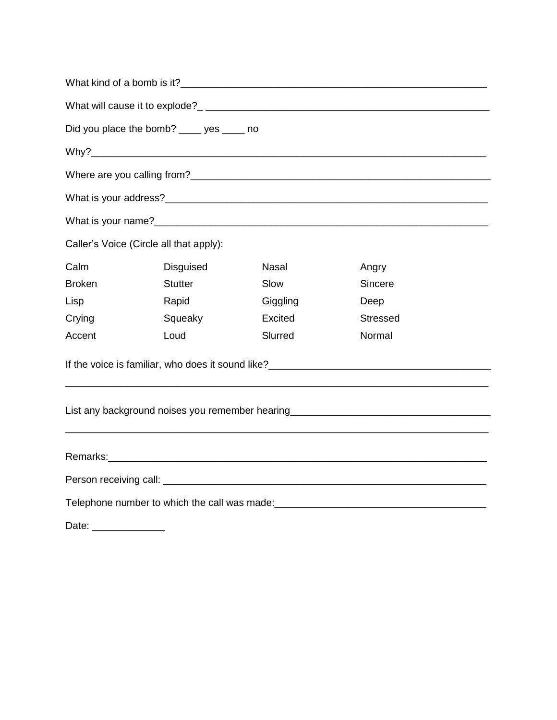|               | Did you place the bomb? ____ yes ____ no |              |                                                                                                                                                                                                                               |  |
|---------------|------------------------------------------|--------------|-------------------------------------------------------------------------------------------------------------------------------------------------------------------------------------------------------------------------------|--|
|               |                                          |              |                                                                                                                                                                                                                               |  |
|               |                                          |              |                                                                                                                                                                                                                               |  |
|               |                                          |              |                                                                                                                                                                                                                               |  |
|               |                                          |              |                                                                                                                                                                                                                               |  |
|               | Caller's Voice (Circle all that apply):  |              |                                                                                                                                                                                                                               |  |
| Calm          | Disguised                                | <b>Nasal</b> | Angry                                                                                                                                                                                                                         |  |
| <b>Broken</b> | <b>Stutter</b>                           | Slow         | Sincere                                                                                                                                                                                                                       |  |
| Lisp          | Rapid                                    | Giggling     | Deep                                                                                                                                                                                                                          |  |
| Crying        | Squeaky                                  | Excited      | <b>Stressed</b>                                                                                                                                                                                                               |  |
| Accent        | Loud                                     | Slurred      | Normal                                                                                                                                                                                                                        |  |
|               |                                          |              |                                                                                                                                                                                                                               |  |
|               |                                          |              | List any background noises you remember hearing_________________________________                                                                                                                                              |  |
|               |                                          |              |                                                                                                                                                                                                                               |  |
|               |                                          |              |                                                                                                                                                                                                                               |  |
|               |                                          |              | Telephone number to which the call was made: example and the control of the control of the control of the control of the control of the control of the control of the control of the control of the control of the control of |  |
| Date:         |                                          |              |                                                                                                                                                                                                                               |  |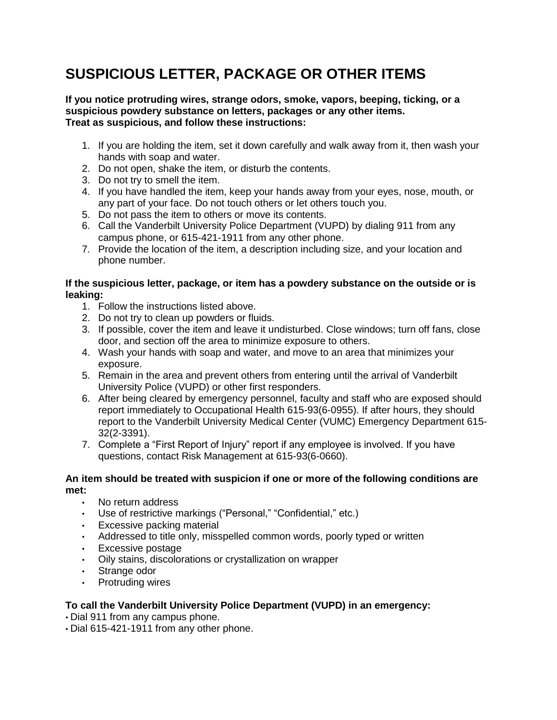# **SUSPICIOUS LETTER, PACKAGE OR OTHER ITEMS**

**If you notice protruding wires, strange odors, smoke, vapors, beeping, ticking, or a suspicious powdery substance on letters, packages or any other items. Treat as suspicious, and follow these instructions:**

- 1. If you are holding the item, set it down carefully and walk away from it, then wash your hands with soap and water.
- 2. Do not open, shake the item, or disturb the contents.
- 3. Do not try to smell the item.
- 4. If you have handled the item, keep your hands away from your eyes, nose, mouth, or any part of your face. Do not touch others or let others touch you.
- 5. Do not pass the item to others or move its contents.
- 6. Call the Vanderbilt University Police Department (VUPD) by dialing 911 from any campus phone, or 615-421-1911 from any other phone.
- 7. Provide the location of the item, a description including size, and your location and phone number.

#### **If the suspicious letter, package, or item has a powdery substance on the outside or is leaking:**

- 1. Follow the instructions listed above.
- 2. Do not try to clean up powders or fluids.
- 3. If possible, cover the item and leave it undisturbed. Close windows; turn off fans, close door, and section off the area to minimize exposure to others.
- 4. Wash your hands with soap and water, and move to an area that minimizes your exposure.
- 5. Remain in the area and prevent others from entering until the arrival of Vanderbilt University Police (VUPD) or other first responders.
- 6. After being cleared by emergency personnel, faculty and staff who are exposed should report immediately to Occupational Health 615-93(6-0955). If after hours, they should report to the Vanderbilt University Medical Center (VUMC) Emergency Department 615- 32(2-3391).
- 7. Complete a "First Report of Injury" report if any employee is involved. If you have questions, contact Risk Management at 615-93(6-0660).

#### **An item should be treated with suspicion if one or more of the following conditions are met:**

- No return address
- Use of restrictive markings ("Personal," "Confidential," etc.)
- Excessive packing material
- Addressed to title only, misspelled common words, poorly typed or written
- Excessive postage
- Oily stains, discolorations or crystallization on wrapper
- Strange odor
- Protruding wires

- Dial 911 from any campus phone.
- Dial 615-421-1911 from any other phone.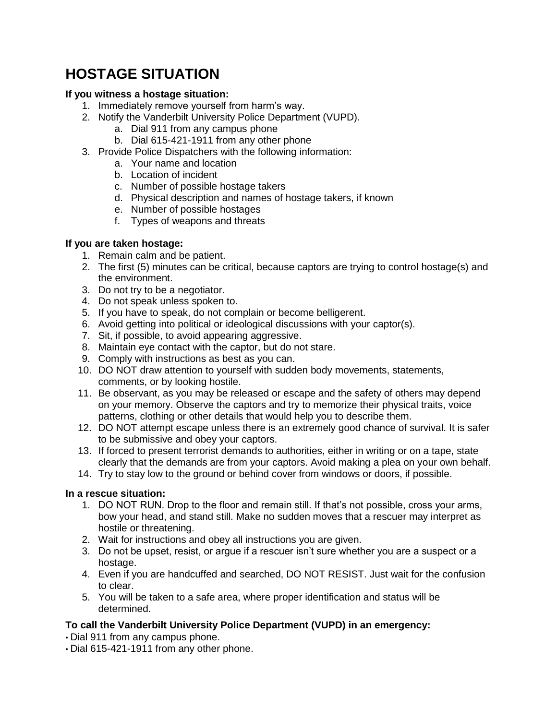# **HOSTAGE SITUATION**

### **If you witness a hostage situation:**

- 1. Immediately remove yourself from harm's way.
- 2. Notify the Vanderbilt University Police Department (VUPD).
	- a. Dial 911 from any campus phone
	- b. Dial 615-421-1911 from any other phone
- 3. Provide Police Dispatchers with the following information:
	- a. Your name and location
	- b. Location of incident
	- c. Number of possible hostage takers
	- d. Physical description and names of hostage takers, if known
	- e. Number of possible hostages
	- f. Types of weapons and threats

#### **If you are taken hostage:**

- 1. Remain calm and be patient.
- 2. The first (5) minutes can be critical, because captors are trying to control hostage(s) and the environment.
- 3. Do not try to be a negotiator.
- 4. Do not speak unless spoken to.
- 5. If you have to speak, do not complain or become belligerent.
- 6. Avoid getting into political or ideological discussions with your captor(s).
- 7. Sit, if possible, to avoid appearing aggressive.
- 8. Maintain eye contact with the captor, but do not stare.
- 9. Comply with instructions as best as you can.
- 10. DO NOT draw attention to yourself with sudden body movements, statements, comments, or by looking hostile.
- 11. Be observant, as you may be released or escape and the safety of others may depend on your memory. Observe the captors and try to memorize their physical traits, voice patterns, clothing or other details that would help you to describe them.
- 12. DO NOT attempt escape unless there is an extremely good chance of survival. It is safer to be submissive and obey your captors.
- 13. If forced to present terrorist demands to authorities, either in writing or on a tape, state clearly that the demands are from your captors. Avoid making a plea on your own behalf.
- 14. Try to stay low to the ground or behind cover from windows or doors, if possible.

## **In a rescue situation:**

- 1. DO NOT RUN. Drop to the floor and remain still. If that's not possible, cross your arms, bow your head, and stand still. Make no sudden moves that a rescuer may interpret as hostile or threatening.
- 2. Wait for instructions and obey all instructions you are given.
- 3. Do not be upset, resist, or argue if a rescuer isn't sure whether you are a suspect or a hostage.
- 4. Even if you are handcuffed and searched, DO NOT RESIST. Just wait for the confusion to clear.
- 5. You will be taken to a safe area, where proper identification and status will be determined.

- Dial 911 from any campus phone.
- Dial 615-421-1911 from any other phone.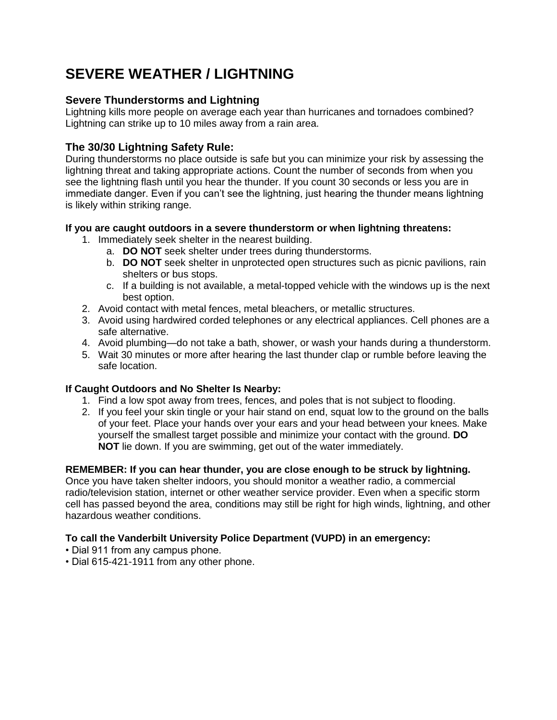# **SEVERE WEATHER / LIGHTNING**

## **Severe Thunderstorms and Lightning**

Lightning kills more people on average each year than hurricanes and tornadoes combined? Lightning can strike up to 10 miles away from a rain area.

## **The 30/30 Lightning Safety Rule:**

During thunderstorms no place outside is safe but you can minimize your risk by assessing the lightning threat and taking appropriate actions. Count the number of seconds from when you see the lightning flash until you hear the thunder. If you count 30 seconds or less you are in immediate danger. Even if you can't see the lightning, just hearing the thunder means lightning is likely within striking range.

#### **If you are caught outdoors in a severe thunderstorm or when lightning threatens:**

- 1. Immediately seek shelter in the nearest building.
	- a. **DO NOT** seek shelter under trees during thunderstorms.
	- b. **DO NOT** seek shelter in unprotected open structures such as picnic pavilions, rain shelters or bus stops.
	- c. If a building is not available, a metal-topped vehicle with the windows up is the next best option.
- 2. Avoid contact with metal fences, metal bleachers, or metallic structures.
- 3. Avoid using hardwired corded telephones or any electrical appliances. Cell phones are a safe alternative.
- 4. Avoid plumbing—do not take a bath, shower, or wash your hands during a thunderstorm.
- 5. Wait 30 minutes or more after hearing the last thunder clap or rumble before leaving the safe location.

## **If Caught Outdoors and No Shelter Is Nearby:**

- 1. Find a low spot away from trees, fences, and poles that is not subject to flooding.
- 2. If you feel your skin tingle or your hair stand on end, squat low to the ground on the balls of your feet. Place your hands over your ears and your head between your knees. Make yourself the smallest target possible and minimize your contact with the ground. **DO NOT** lie down. If you are swimming, get out of the water immediately.

## **REMEMBER: If you can hear thunder, you are close enough to be struck by lightning.**

Once you have taken shelter indoors, you should monitor a weather radio, a commercial radio/television station, internet or other weather service provider. Even when a specific storm cell has passed beyond the area, conditions may still be right for high winds, lightning, and other hazardous weather conditions.

- Dial 911 from any campus phone.
- Dial 615-421-1911 from any other phone.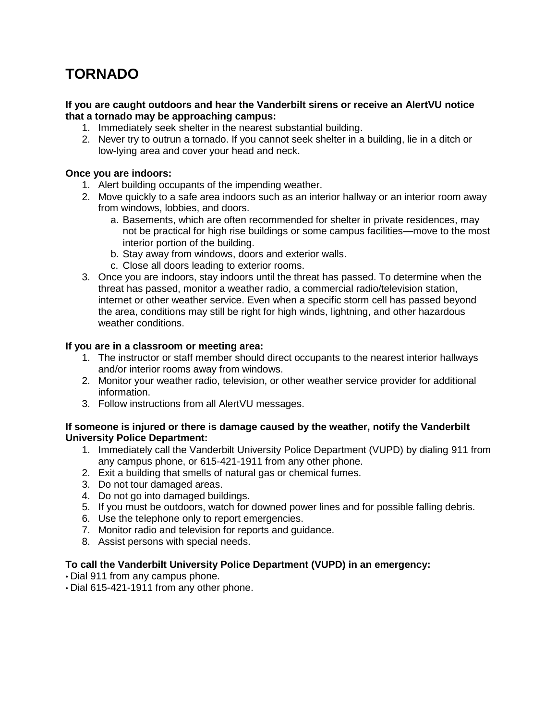# **TORNADO**

#### **If you are caught outdoors and hear the Vanderbilt sirens or receive an AlertVU notice that a tornado may be approaching campus:**

- 1. Immediately seek shelter in the nearest substantial building.
- 2. Never try to outrun a tornado. If you cannot seek shelter in a building, lie in a ditch or low-lying area and cover your head and neck.

#### **Once you are indoors:**

- 1. Alert building occupants of the impending weather.
- 2. Move quickly to a safe area indoors such as an interior hallway or an interior room away from windows, lobbies, and doors.
	- a. Basements, which are often recommended for shelter in private residences, may not be practical for high rise buildings or some campus facilities—move to the most interior portion of the building.
	- b. Stay away from windows, doors and exterior walls.
	- c. Close all doors leading to exterior rooms.
- 3. Once you are indoors, stay indoors until the threat has passed. To determine when the threat has passed, monitor a weather radio, a commercial radio/television station, internet or other weather service. Even when a specific storm cell has passed beyond the area, conditions may still be right for high winds, lightning, and other hazardous weather conditions.

#### **If you are in a classroom or meeting area:**

- 1. The instructor or staff member should direct occupants to the nearest interior hallways and/or interior rooms away from windows.
- 2. Monitor your weather radio, television, or other weather service provider for additional information.
- 3. Follow instructions from all AlertVU messages.

#### **If someone is injured or there is damage caused by the weather, notify the Vanderbilt University Police Department:**

- 1. Immediately call the Vanderbilt University Police Department (VUPD) by dialing 911 from any campus phone, or 615-421-1911 from any other phone.
- 2. Exit a building that smells of natural gas or chemical fumes.
- 3. Do not tour damaged areas.
- 4. Do not go into damaged buildings.
- 5. If you must be outdoors, watch for downed power lines and for possible falling debris.
- 6. Use the telephone only to report emergencies.
- 7. Monitor radio and television for reports and guidance.
- 8. Assist persons with special needs.

- Dial 911 from any campus phone.
- Dial 615-421-1911 from any other phone.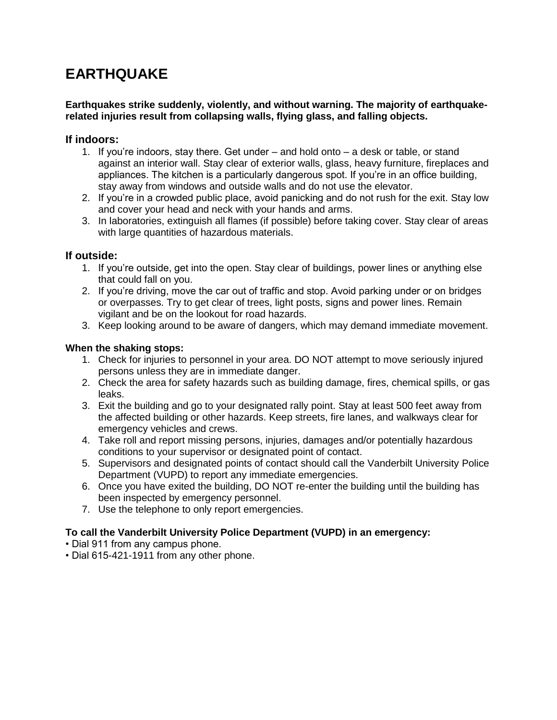# **EARTHQUAKE**

#### **Earthquakes strike suddenly, violently, and without warning. The majority of earthquakerelated injuries result from collapsing walls, flying glass, and falling objects.**

### **If indoors:**

- 1. If you're indoors, stay there. Get under and hold onto a desk or table, or stand against an interior wall. Stay clear of exterior walls, glass, heavy furniture, fireplaces and appliances. The kitchen is a particularly dangerous spot. If you're in an office building, stay away from windows and outside walls and do not use the elevator.
- 2. If you're in a crowded public place, avoid panicking and do not rush for the exit. Stay low and cover your head and neck with your hands and arms.
- 3. In laboratories, extinguish all flames (if possible) before taking cover. Stay clear of areas with large quantities of hazardous materials.

#### **If outside:**

- 1. If you're outside, get into the open. Stay clear of buildings, power lines or anything else that could fall on you.
- 2. If you're driving, move the car out of traffic and stop. Avoid parking under or on bridges or overpasses. Try to get clear of trees, light posts, signs and power lines. Remain vigilant and be on the lookout for road hazards.
- 3. Keep looking around to be aware of dangers, which may demand immediate movement.

#### **When the shaking stops:**

- 1. Check for injuries to personnel in your area. DO NOT attempt to move seriously injured persons unless they are in immediate danger.
- 2. Check the area for safety hazards such as building damage, fires, chemical spills, or gas leaks.
- 3. Exit the building and go to your designated rally point. Stay at least 500 feet away from the affected building or other hazards. Keep streets, fire lanes, and walkways clear for emergency vehicles and crews.
- 4. Take roll and report missing persons, injuries, damages and/or potentially hazardous conditions to your supervisor or designated point of contact.
- 5. Supervisors and designated points of contact should call the Vanderbilt University Police Department (VUPD) to report any immediate emergencies.
- 6. Once you have exited the building, DO NOT re-enter the building until the building has been inspected by emergency personnel.
- 7. Use the telephone to only report emergencies.

- Dial 911 from any campus phone.
- Dial 615-421-1911 from any other phone.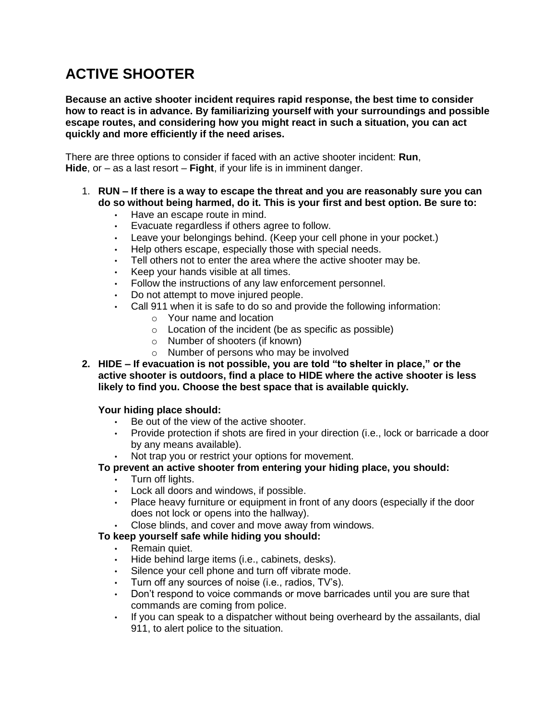# **ACTIVE SHOOTER**

**Because an active shooter incident requires rapid response, the best time to consider how to react is in advance. By familiarizing yourself with your surroundings and possible escape routes, and considering how you might react in such a situation, you can act quickly and more efficiently if the need arises.**

There are three options to consider if faced with an active shooter incident: **Run**, **Hide**, or – as a last resort – **Fight**, if your life is in imminent danger.

- 1. **RUN – If there is a way to escape the threat and you are reasonably sure you can do so without being harmed, do it. This is your first and best option. Be sure to:**
	- Have an escape route in mind.
	- Evacuate regardless if others agree to follow.
	- Leave your belongings behind. (Keep your cell phone in your pocket.)
	- Help others escape, especially those with special needs.
	- Tell others not to enter the area where the active shooter may be.
	- Keep your hands visible at all times.
	- Follow the instructions of any law enforcement personnel.
	- Do not attempt to move injured people.
	- Call 911 when it is safe to do so and provide the following information:
		- o Your name and location
		- o Location of the incident (be as specific as possible)
		- o Number of shooters (if known)
		- o Number of persons who may be involved
- **2. HIDE – If evacuation is not possible, you are told "to shelter in place," or the active shooter is outdoors, find a place to HIDE where the active shooter is less likely to find you. Choose the best space that is available quickly.**

#### **Your hiding place should:**

- Be out of the view of the active shooter.
- Provide protection if shots are fired in your direction (i.e., lock or barricade a door by any means available).
- Not trap you or restrict your options for movement.
- **To prevent an active shooter from entering your hiding place, you should:**
	- Turn off lights.
	- Lock all doors and windows, if possible.
	- Place heavy furniture or equipment in front of any doors (especially if the door does not lock or opens into the hallway).
	- Close blinds, and cover and move away from windows.

#### **To keep yourself safe while hiding you should:**

- Remain quiet.
- Hide behind large items (i.e., cabinets, desks).
- Silence your cell phone and turn off vibrate mode.
- Turn off any sources of noise (i.e., radios, TV's).
- Don't respond to voice commands or move barricades until you are sure that commands are coming from police.
- If you can speak to a dispatcher without being overheard by the assailants, dial 911, to alert police to the situation.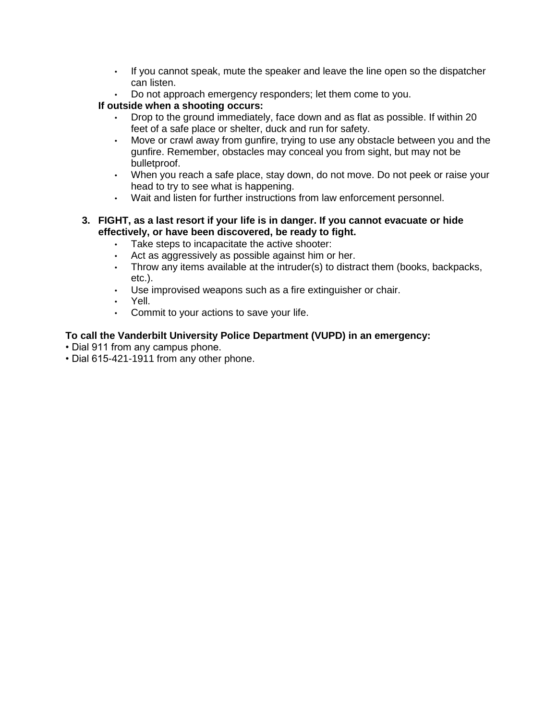- If you cannot speak, mute the speaker and leave the line open so the dispatcher can listen.
- Do not approach emergency responders; let them come to you.

### **If outside when a shooting occurs:**

- Drop to the ground immediately, face down and as flat as possible. If within 20 feet of a safe place or shelter, duck and run for safety.
- Move or crawl away from gunfire, trying to use any obstacle between you and the gunfire. Remember, obstacles may conceal you from sight, but may not be bulletproof.
- When you reach a safe place, stay down, do not move. Do not peek or raise your head to try to see what is happening.
- Wait and listen for further instructions from law enforcement personnel.
- **3. FIGHT, as a last resort if your life is in danger. If you cannot evacuate or hide effectively, or have been discovered, be ready to fight.**
	- Take steps to incapacitate the active shooter:
	- Act as aggressively as possible against him or her.
	- Throw any items available at the intruder(s) to distract them (books, backpacks, etc.).
	- Use improvised weapons such as a fire extinguisher or chair.
	- Yell.
	- Commit to your actions to save your life.

- Dial 911 from any campus phone.
- Dial 615-421-1911 from any other phone.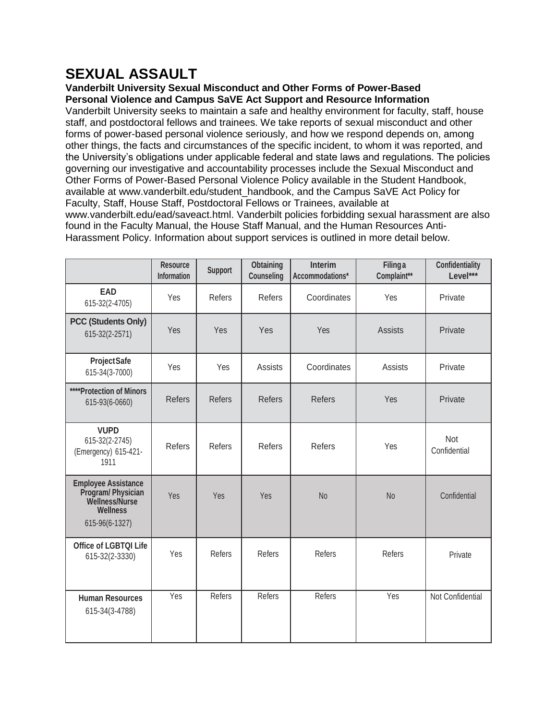# **SEXUAL ASSAULT**

#### **Vanderbilt University Sexual Misconduct and Other Forms of Power-Based Personal Violence and Campus SaVE Act Support and Resource Information**

Vanderbilt University seeks to maintain a safe and healthy environment for faculty, staff, house staff, and postdoctoral fellows and trainees. We take reports of sexual misconduct and other forms of power-based personal violence seriously, and how we respond depends on, among other things, the facts and circumstances of the specific incident, to whom it was reported, and the University's obligations under applicable federal and state laws and regulations. The policies governing our investigative and accountability processes include the Sexual Misconduct and Other Forms of Power-Based Personal Violence Policy available in the Student Handbook, available at www.vanderbilt.edu/student\_handbook, and the Campus SaVE Act Policy for Faculty, Staff, House Staff, Postdoctoral Fellows or Trainees, available at www.vanderbilt.edu/ead/saveact.html. Vanderbilt policies forbidding sexual harassment are also

found in the Faculty Manual, the House Staff Manual, and the Human Resources Anti-Harassment Policy. Information about support services is outlined in more detail below.

|                                                                                                        | <b>Resource</b><br><b>Information</b> | <b>Support</b> | <b>Obtaining</b><br><b>Counseling</b> | Interim<br>Accommodations* | <b>Filinga</b><br>Complaint** | <b>Confidentiality</b><br>Level*** |
|--------------------------------------------------------------------------------------------------------|---------------------------------------|----------------|---------------------------------------|----------------------------|-------------------------------|------------------------------------|
| <b>EAD</b><br>615-32(2-4705)                                                                           | Yes                                   | Refers         | Refers                                | Coordinates                | Yes                           | Private                            |
| <b>PCC (Students Only)</b><br>615-32(2-2571)                                                           | Yes                                   | Yes            | Yes                                   | Yes                        | <b>Assists</b>                | Private                            |
| <b>ProjectSafe</b><br>615-34(3-7000)                                                                   | Yes                                   | Yes            | <b>Assists</b>                        | Coordinates                | Assists                       | Private                            |
| ****Protection of Minors<br>615-93(6-0660)                                                             | <b>Refers</b>                         | <b>Refers</b>  | <b>Refers</b>                         | <b>Refers</b>              | Yes                           | Private                            |
| <b>VUPD</b><br>615-32(2-2745)<br>(Emergency) 615-421-<br>1911                                          | <b>Refers</b>                         | <b>Refers</b>  | <b>Refers</b>                         | <b>Refers</b>              | Yes                           | <b>Not</b><br>Confidential         |
| <b>Employee Assistance</b><br>Program/Physician<br>Wellness/Nurse<br><b>Wellness</b><br>615-96(6-1327) | Yes                                   | Yes            | Yes                                   | N <sub>o</sub>             | N <sub>o</sub>                | Confidential                       |
| <b>Office of LGBTQI Life</b><br>615-32(2-3330)                                                         | Yes                                   | Refers         | Refers                                | Refers                     | Refers                        | Private                            |
| <b>Human Resources</b><br>615-34(3-4788)                                                               | Yes                                   | Refers         | Refers                                | Refers                     | Yes                           | Not Confidential                   |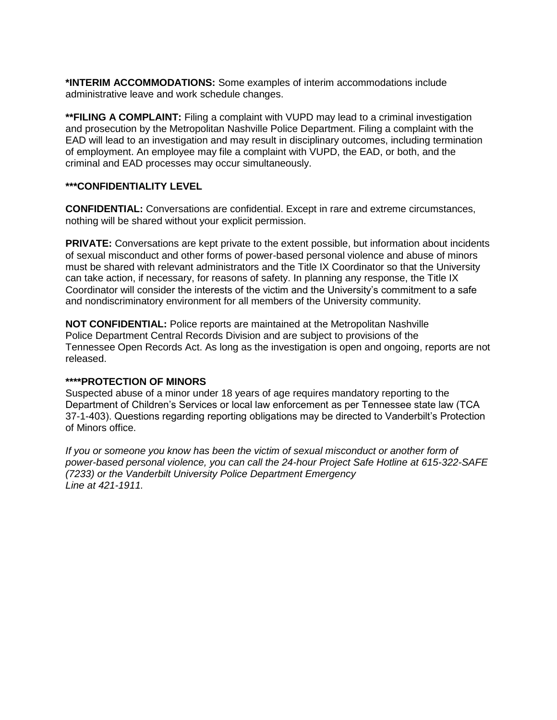**\*INTERIM ACCOMMODATIONS:** Some examples of interim accommodations include administrative leave and work schedule changes.

**\*\*FILING A COMPLAINT:** Filing a complaint with VUPD may lead to a criminal investigation and prosecution by the Metropolitan Nashville Police Department. Filing a complaint with the EAD will lead to an investigation and may result in disciplinary outcomes, including termination of employment. An employee may file a complaint with VUPD, the EAD, or both, and the criminal and EAD processes may occur simultaneously.

#### **\*\*\*CONFIDENTIALITY LEVEL**

**CONFIDENTIAL:** Conversations are confidential. Except in rare and extreme circumstances, nothing will be shared without your explicit permission.

**PRIVATE:** Conversations are kept private to the extent possible, but information about incidents of sexual misconduct and other forms of power-based personal violence and abuse of minors must be shared with relevant administrators and the Title IX Coordinator so that the University can take action, if necessary, for reasons of safety. In planning any response, the Title IX Coordinator will consider the interests of the victim and the University's commitment to a safe and nondiscriminatory environment for all members of the University community.

**NOT CONFIDENTIAL:** Police reports are maintained at the Metropolitan Nashville Police Department Central Records Division and are subject to provisions of the Tennessee Open Records Act. As long as the investigation is open and ongoing, reports are not released.

#### **\*\*\*\*PROTECTION OF MINORS**

Suspected abuse of a minor under 18 years of age requires mandatory reporting to the Department of Children's Services or local law enforcement as per Tennessee state law (TCA 37-1-403). Questions regarding reporting obligations may be directed to Vanderbilt's Protection of Minors office.

*If you or someone you know has been the victim of sexual misconduct or another form of power-based personal violence, you can call the 24-hour Project Safe Hotline at 615-322-SAFE (7233) or the Vanderbilt University Police Department Emergency Line at 421-1911.*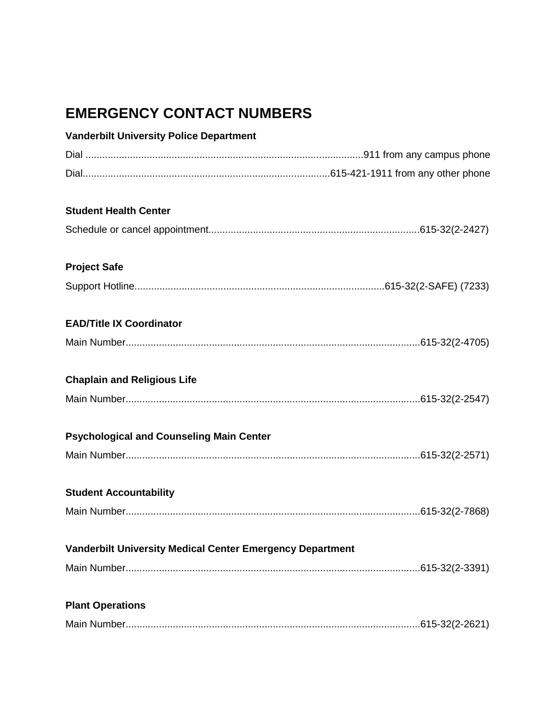# **EMERGENCY CONTACT NUMBERS**

| <b>Vanderbilt University Police Department</b>                   |  |
|------------------------------------------------------------------|--|
|                                                                  |  |
|                                                                  |  |
| <b>Student Health Center</b>                                     |  |
|                                                                  |  |
| <b>Project Safe</b>                                              |  |
|                                                                  |  |
| <b>EAD/Title IX Coordinator</b>                                  |  |
|                                                                  |  |
| <b>Chaplain and Religious Life</b>                               |  |
|                                                                  |  |
| <b>Psychological and Counseling Main Center</b>                  |  |
|                                                                  |  |
| <b>Student Accountability</b>                                    |  |
|                                                                  |  |
| <b>Vanderbilt University Medical Center Emergency Department</b> |  |
|                                                                  |  |
| <b>Plant Operations</b>                                          |  |
|                                                                  |  |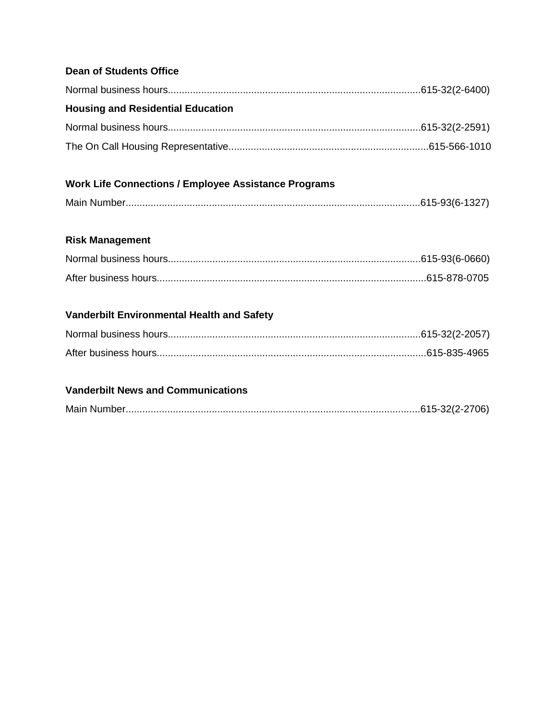## **Dean of Students Office**

| <b>Housing and Residential Education</b> |  |
|------------------------------------------|--|
|                                          |  |
|                                          |  |

## **Work Life Connections / Employee Assistance Programs**

## **Risk Management**

## **Vanderbilt Environmental Health and Safety**

## **Vanderbilt News and Communications**

|--|--|